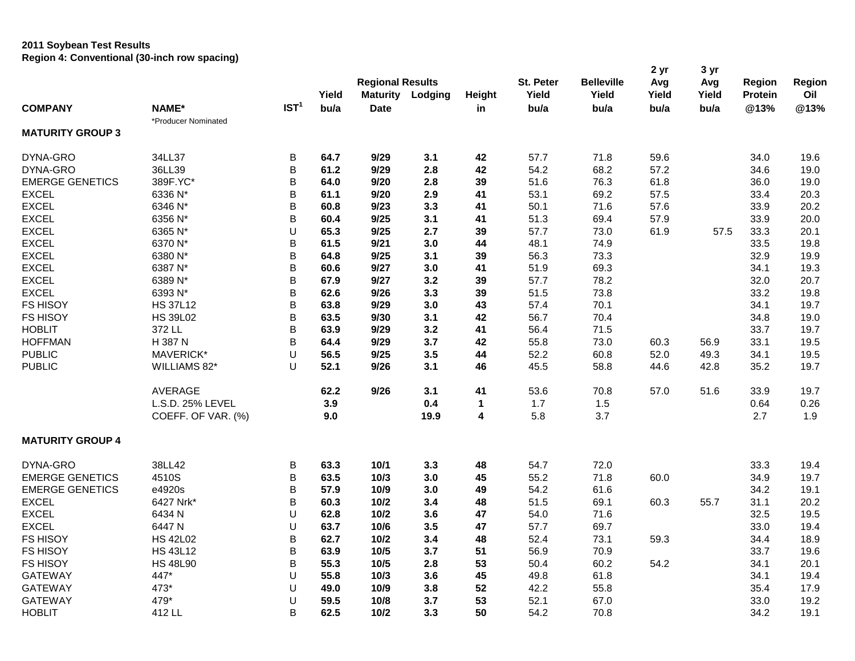## **2011 Soybean Test Results Region 4: Conventional (30-inch row spacing)**

|                         |                     |                  |       |                         |         |              |           |                   | 2 yr  | 3 yr  |                |        |
|-------------------------|---------------------|------------------|-------|-------------------------|---------|--------------|-----------|-------------------|-------|-------|----------------|--------|
|                         |                     |                  |       | <b>Regional Results</b> |         |              | St. Peter | <b>Belleville</b> | Avg   | Avg   | <b>Region</b>  | Region |
|                         |                     |                  | Yield | <b>Maturity</b>         | Lodging | Height       | Yield     | Yield             | Yield | Yield | <b>Protein</b> | Oil    |
| <b>COMPANY</b>          | NAME*               | IST <sup>1</sup> | bu/a  | <b>Date</b>             |         | in           | bu/a      | bu/a              | bu/a  | bu/a  | @13%           | @13%   |
|                         | *Producer Nominated |                  |       |                         |         |              |           |                   |       |       |                |        |
| <b>MATURITY GROUP 3</b> |                     |                  |       |                         |         |              |           |                   |       |       |                |        |
| DYNA-GRO                | 34LL37              | B                | 64.7  | 9/29                    | 3.1     | 42           | 57.7      | 71.8              | 59.6  |       | 34.0           | 19.6   |
| DYNA-GRO                | 36LL39              | B                | 61.2  | 9/29                    | 2.8     | 42           | 54.2      | 68.2              | 57.2  |       | 34.6           | 19.0   |
| <b>EMERGE GENETICS</b>  | 389F.YC*            | B                | 64.0  | 9/20                    | 2.8     | 39           | 51.6      | 76.3              | 61.8  |       | 36.0           | 19.0   |
| <b>EXCEL</b>            | 6336 N*             | B                | 61.1  | 9/20                    | 2.9     | 41           | 53.1      | 69.2              | 57.5  |       | 33.4           | 20.3   |
| <b>EXCEL</b>            | 6346 N*             | B                | 60.8  | 9/23                    | 3.3     | 41           | 50.1      | 71.6              | 57.6  |       | 33.9           | 20.2   |
| <b>EXCEL</b>            | 6356 N*             | B                | 60.4  | 9/25                    | 3.1     | 41           | 51.3      | 69.4              | 57.9  |       | 33.9           | 20.0   |
| <b>EXCEL</b>            | 6365 N*             | U                | 65.3  | 9/25                    | 2.7     | 39           | 57.7      | 73.0              | 61.9  | 57.5  | 33.3           | 20.1   |
| <b>EXCEL</b>            | 6370 N*             | B                | 61.5  | 9/21                    | 3.0     | 44           | 48.1      | 74.9              |       |       | 33.5           | 19.8   |
| <b>EXCEL</b>            | 6380 N*             | B                | 64.8  | 9/25                    | 3.1     | 39           | 56.3      | 73.3              |       |       | 32.9           | 19.9   |
| <b>EXCEL</b>            | 6387 N*             | B                | 60.6  | 9/27                    | 3.0     | 41           | 51.9      | 69.3              |       |       | 34.1           | 19.3   |
| <b>EXCEL</b>            | 6389 N*             | B                | 67.9  | 9/27                    | 3.2     | 39           | 57.7      | 78.2              |       |       | 32.0           | 20.7   |
| <b>EXCEL</b>            | 6393 N*             | B                | 62.6  | 9/26                    | 3.3     | 39           | 51.5      | 73.8              |       |       | 33.2           | 19.8   |
| FS HISOY                | <b>HS 37L12</b>     | B                | 63.8  | 9/29                    | 3.0     | 43           | 57.4      | 70.1              |       |       | 34.1           | 19.7   |
| FS HISOY                | <b>HS 39L02</b>     | B                | 63.5  | 9/30                    | 3.1     | 42           | 56.7      | 70.4              |       |       | 34.8           | 19.0   |
| <b>HOBLIT</b>           | 372 LL              | B                | 63.9  | 9/29                    | 3.2     | 41           | 56.4      | 71.5              |       |       | 33.7           | 19.7   |
| <b>HOFFMAN</b>          | H 387 N             | B                | 64.4  | 9/29                    | 3.7     | 42           | 55.8      | 73.0              | 60.3  | 56.9  | 33.1           | 19.5   |
| <b>PUBLIC</b>           | MAVERICK*           | U                | 56.5  | 9/25                    | 3.5     | 44           | 52.2      | 60.8              | 52.0  | 49.3  | 34.1           | 19.5   |
| <b>PUBLIC</b>           | WILLIAMS 82*        | $\cup$           | 52.1  | 9/26                    | 3.1     | 46           | 45.5      | 58.8              | 44.6  | 42.8  | 35.2           | 19.7   |
|                         | AVERAGE             |                  | 62.2  | 9/26                    | 3.1     | 41           | 53.6      | 70.8              | 57.0  | 51.6  | 33.9           | 19.7   |
|                         | L.S.D. 25% LEVEL    |                  | 3.9   |                         | 0.4     | $\mathbf{1}$ | 1.7       | 1.5               |       |       | 0.64           | 0.26   |
|                         | COEFF. OF VAR. (%)  |                  | 9.0   |                         | 19.9    | 4            | 5.8       | 3.7               |       |       | 2.7            | 1.9    |
| <b>MATURITY GROUP 4</b> |                     |                  |       |                         |         |              |           |                   |       |       |                |        |
| DYNA-GRO                | 38LL42              | B                | 63.3  | 10/1                    | 3.3     | 48           | 54.7      | 72.0              |       |       | 33.3           | 19.4   |
| <b>EMERGE GENETICS</b>  | 4510S               | B                | 63.5  | 10/3                    | 3.0     | 45           | 55.2      | 71.8              | 60.0  |       | 34.9           | 19.7   |
| <b>EMERGE GENETICS</b>  | e4920s              | B                | 57.9  | 10/9                    | 3.0     | 49           | 54.2      | 61.6              |       |       | 34.2           | 19.1   |
| <b>EXCEL</b>            | 6427 Nrk*           | B                | 60.3  | 10/2                    | 3.4     | 48           | 51.5      | 69.1              | 60.3  | 55.7  | 31.1           | 20.2   |
| <b>EXCEL</b>            | 6434 N              | U                | 62.8  | 10/2                    | 3.6     | 47           | 54.0      | 71.6              |       |       | 32.5           | 19.5   |
| <b>EXCEL</b>            | 6447 N              | U                | 63.7  | 10/6                    | 3.5     | 47           | 57.7      | 69.7              |       |       | 33.0           | 19.4   |
| FS HISOY                | <b>HS 42L02</b>     | B                | 62.7  | 10/2                    | 3.4     | 48           | 52.4      | 73.1              | 59.3  |       | 34.4           | 18.9   |
| <b>FS HISOY</b>         | <b>HS 43L12</b>     | B                | 63.9  | 10/5                    | 3.7     | 51           | 56.9      | 70.9              |       |       | 33.7           | 19.6   |
| <b>FS HISOY</b>         | <b>HS 48L90</b>     | B                | 55.3  | 10/5                    | 2.8     | 53           | 50.4      | 60.2              | 54.2  |       | 34.1           | 20.1   |
| <b>GATEWAY</b>          | 447*                | U                | 55.8  | 10/3                    | 3.6     | 45           | 49.8      | 61.8              |       |       | 34.1           | 19.4   |
| <b>GATEWAY</b>          | 473*                | U                | 49.0  | 10/9                    | 3.8     | 52           | 42.2      | 55.8              |       |       | 35.4           | 17.9   |
| <b>GATEWAY</b>          | 479*                | U                | 59.5  | 10/8                    | 3.7     | 53           | 52.1      | 67.0              |       |       | 33.0           | 19.2   |
| <b>HOBLIT</b>           | 412 LL              | B                | 62.5  | 10/2                    | 3.3     | 50           | 54.2      | 70.8              |       |       | 34.2           | 19.1   |